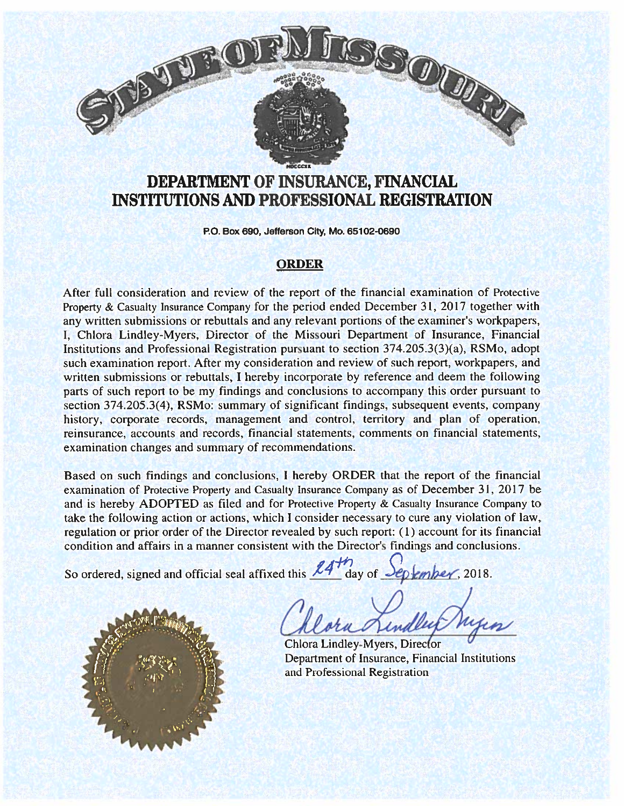

# DEPARTMENT OF INSURANCE, FINANCIAL INSTITUTIONS AND PROFESSIONAL REGISTRATION

P.O. Box 690, Jefferson City, Mo. 65102-0690

#### ORDER

After full consideration and review of the repor<sup>t</sup> of the financial examination of Protective Property & Casualty Insurance Company for the period ended December 31. 2017 together with any written submissions or rebuttals and any relevant portions of the examiner's workpapers, I. Chlora Lindley-Mvers. Director of the Missouri Department of Insurance, Financial Institutions and Professional Registration pursuan<sup>t</sup> to section 374.205.3(3(a), RSMo. adopt such examination report. After my consideration and review of such report, workpapers. and written submissions or rebuttals. <sup>I</sup> hereby incorporate by reference and deem the following parts of such repor<sup>t</sup> to be my findings and conclusions to accompany this order pursuan<sup>t</sup> to section 374.205.3(4), RSMo: summary of significant findings, subsequent events, company history, corporate records, management and control, territory and plan of operation, reinsurance. accounts and records, financial statements. comments on financial statements, examination changes and summary of recommendations. **SO THE AND THE CONSTRAINER SO OR AN ARCHIVET OF INSURANCE, FINANCIAL INSTITUTIONS AND PROFESSIONAL REGISTRATION**<br>FOR DEVICE TO EXCRETE THE CONSTRAINED RECISITED TO THE CONSTRAINED TO THE CONSTRAINED OR ON THE CONSTRAINED

Based on such findings and conclusions. <sup>I</sup> hereby ORDER that the repor<sup>t</sup> of the financial examination of Protective Property and Casualty Insurance Company as of December 31, 2017 be and is hereby ADOPTED as filed and for Protective Property & Casualty Insurance Company to take the following action or actions, which <sup>I</sup> consider necessary to cure any violation of law. regulation or prior order of the Director revealed by such report: (1) account for its financial condition and affairs in <sup>a</sup> manner consistent with the Director's findings and conclusions.

So ordered, signed and official seal affixed this  $14'$  day of  $\frac{120}{9}$  ember, 2018.

Chlora Lindley-Myers, Director Department of Insurance, Financial Institutions and Professional Registration

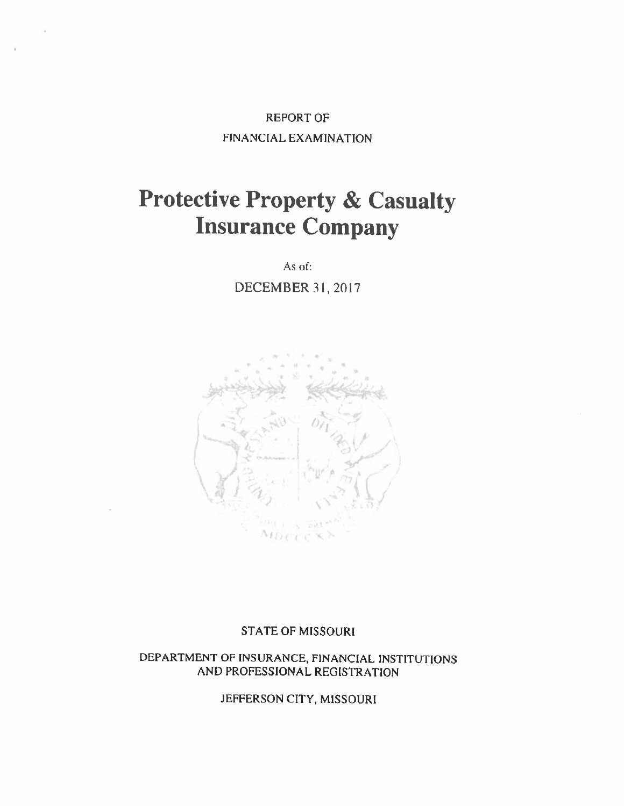# REPORT OF FINANCIAL EXAMINATION

# Protective Property & Casualty Insurance Company

As of:

DECEMBER 31, 2017



#### STATE OF MISSOURI

DEPARTMENT OF INSURANCE, FiNANCIAL INSTITUTIONS AND PROFESSIONAL REGISTRATION

JEFFERSON CITY, MISSOURI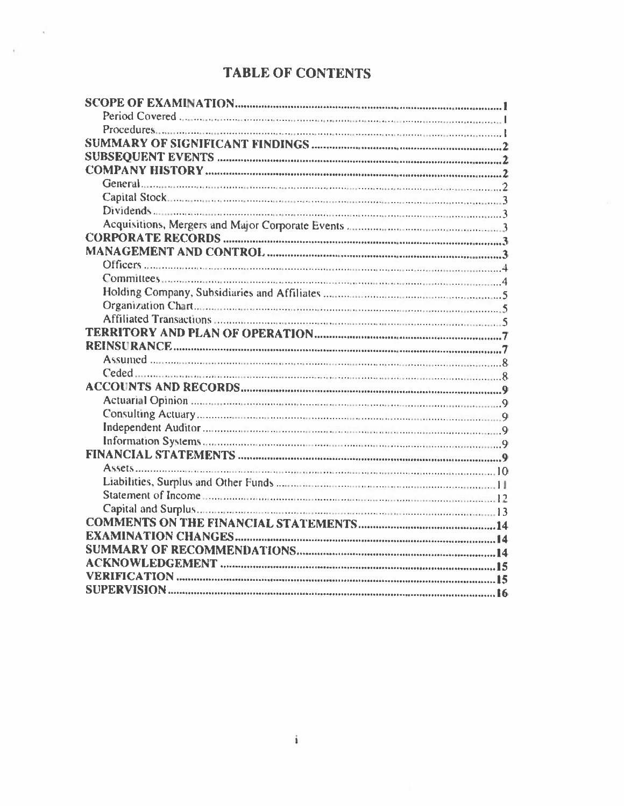# **TABLE OF CONTENTS**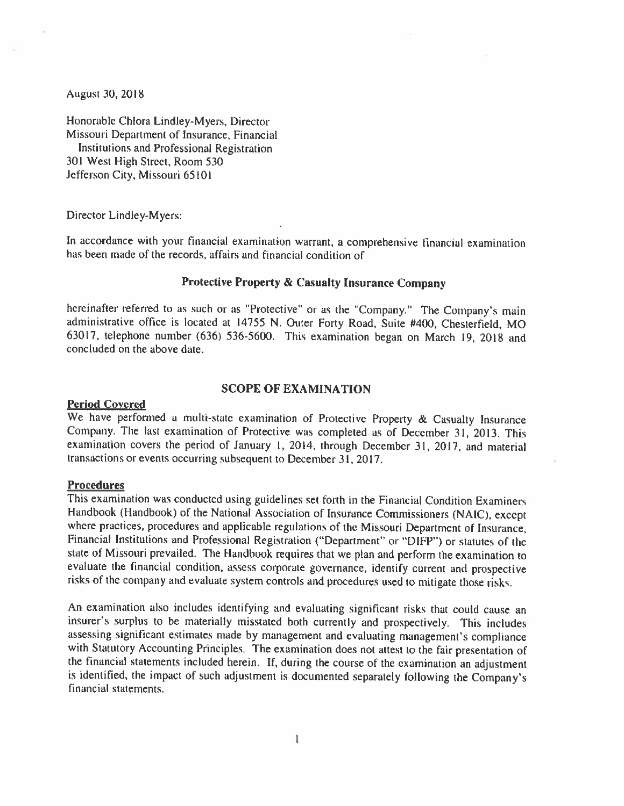August 30, 2018

Honorable Chiora Lindley-Myers, Director Missouri Department of Insurance, Financial Institutions and Professional Registration 30! West High Street. Room 530 Jefferson City, Missouri 65101

Director Lindley-Myers:

In accordance with your financial examination warrant, a comprehensive financial examination has been made of the records, affairs and financial condition of

#### Protective Property & Casualty Insurance Company

hereinafter referred to as such or as "Protective" or as the "Company." The Company's main administrative office is located at <sup>14755</sup> N. Outer Forty Road, Suite #400, Chesterfield, MO 63017, telephone number (636) 536-5600. This examination began on March 19, <sup>2018</sup> and concluded on the above dale.

#### SCOPE OF EXAMINATION

#### Period Covered

We have performed a multi-state examination of Protective Property & Casualty Insurance Company. The last examination of Protective was completed as of December 31, 2013. This examination covers the period of January 1, 2014, through December 31, 2017, and material transactions or events occurring subsequent to December 3!, 2017.

#### Procedures

This examination was conducted using guidelines set forth in the Financial Condition Examiners<br>Handbook (Handbook) of the National Association of Insurance Commissioners (NAIC), except where practices, procedures and applicable regulations of the Missouri Department of Insurance, Financial Institutions and Professional Registration ("Department" or "DIFP") or statutes of the state of Missouri prevailed. The Handbook requires that we <sup>p</sup>lan and perform the examination to evaluate the financial condition, assess corporate governance, identify current and prospective risks of the company and evaluate system controls and procedures used to mitigate those risks.

An examination also includes identifying and evaluating significant risks that could cause an insurer's surplus to he materially misstated both currently and prospectively. This includes assessing significant estimates made by management and evaluating management's compliance with Statutory Accounting Principles. The examination does not attest to the fair presentation of the financial statements included herein. If, during the course of the cxamination an adjustment is identified, the impact of such adjustment is documented separately following the Company's financial statements.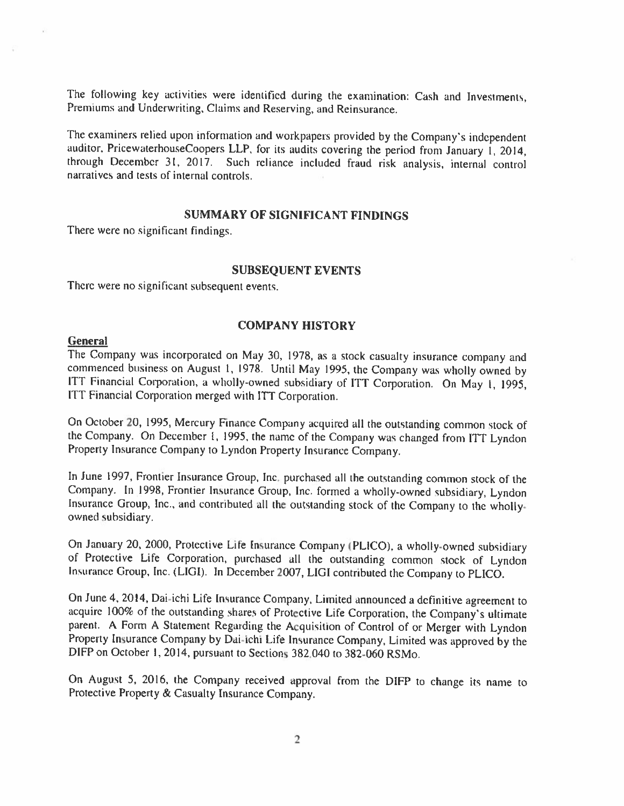The following key activities were identified during the examination: Cash and Investments, Premiums and Underwriting, Claims and Reserving, and Reinsurance.

The examiners relied upon information and workpapers provided by the Company's independent auditor, PricewaterhouseCoopers LLP. for its audits covering the period from January I, 2014, through December 31. 2017. Such reliance included fraud risk analysis, internal control narratives and tests of internal controls.

#### SUMMARY OF SIGNiFICANT FINDINGS

There were no significant findings.

#### SUBSEQUENT EVENTS

There were no significant subsequent events.

#### COMPANY HISTORY

#### **General**

The Company was incorporated on May 30, 1978, as a stock casualty insurance company and commenced business on August 1, 1978. Until May 1995, the Company was wholly owned by ITT Financial Corporation, a wholly-owned subsidiary of ITT Corporation. On May 1, 1995, ITT Financial Corporation merged with ITT Corporation.

On October 20, 1995. Mercury Finance Company acquircd all the outstanding common stock of the Company. On December I, 1995. the name of the Company was changed from ITT Lyndon Property Insurance Company to Lyndon Property Insurance Company.

In June 1997, Frontier Insurance Group, Inc. purchased all the outstanding common stock of the Company. In 1998. Frontier Insurance Group, Inc. formed <sup>a</sup> wholly-owned subsidiary, Lyndon Insurance Group, Inc., and contributed all the outstanding stock of the Company to the wholly-owned subsidiary.

On January 20, 2000, Protective Life Insurance Company (PLICO), a wholly-owned subsidiary of Protective Life Corporation, purchased all the outstanding common stock of Lyndon Insurance Group, Inc. (LIGI). In December 2007, LIGI contributed the Company to PLICO.

On June 4, 2014, Dai-ichi Life Insurance Company, Limited announced a definitive agreement to acquire 100% of the outstanding shares of Protective Life Corporation, the Company's ultimate parent. A Form A Statement Regarding the Acquisition of Control of or Merger with Lyndon Property Insurance Company by Dai-ichi Life Insurance Company, Limited was approved by the DIFP on October 1,2014, pursuant to Sections 382.040 to 382-060 RSMo.

On August 5, 2016, the Company received approval from the DIFP to change its name to Protective Property & Casualty Insurance Company.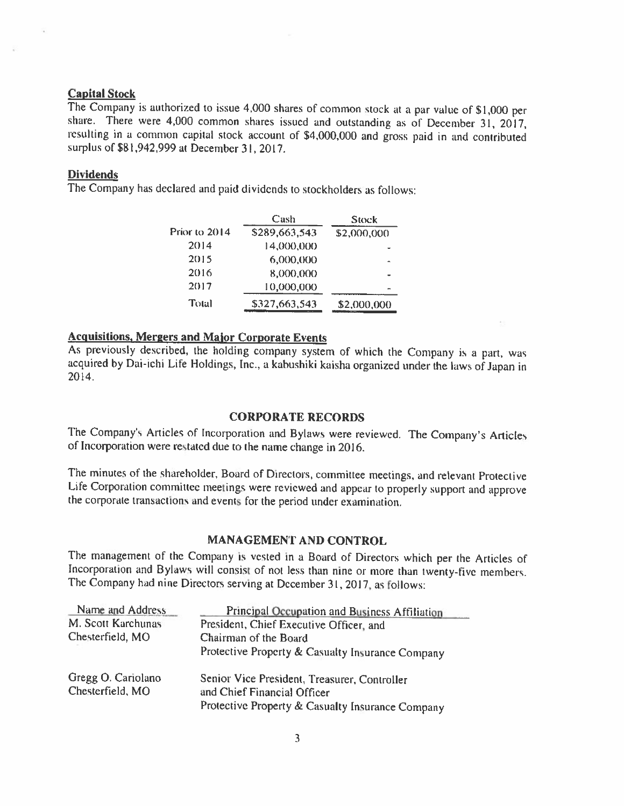**Capital Stock**<br>The Company is authorized to issue 4,000 shares of common stock at a par value of \$1,000 per share. There were 4,000 common shares issued and outstanding as of December 31, 2017, resulting in <sup>a</sup> common capital stock account of \$4,000,000 and gross paid in and contributed surplus of \$81,942,999 at December 31, 2017.

#### Dividends

The Company has declared and paid dividends to stockholders as follows:

|               | Cash          | Stock       |
|---------------|---------------|-------------|
| Prior to 2014 | \$289,663,543 | \$2,000,000 |
| 2014          | 14,000,000    |             |
| 2015          | 6,000,000     |             |
| 2016          | 8,000,000     |             |
| 2017          | 10,000,000    |             |
| Total         | \$327,663,543 | \$2,000,000 |

### Acquisitions, Mergers and Major Corporate Events

As previously described, the holding company system of which the Company is <sup>a</sup> part, was acquired by Dai-ichi Life Holdings, Inc., a kabushiki kaisha organized under the laws of Japan in 2014.

#### CORPORATE RECORDS

The Company's Articles of Incorporation and Bylaws were reviewed. The Company's Articles of Incorporation were restated due to the name change in 2016.

The minutes of the shareholder, Board of Directors, committee meetings, and relevant Protective Life Corporation committee meetings were reviewed and appear to properly support and approve the corporate transactions and events for the period tinder examination.

### MANAGEMENT AND CONTROL

The management of the Company is vested in <sup>a</sup> Board of Directors which per the Articles of Incorporation and Bylaws will consist of not less than nine or more than twenty-five members. The Company had nine Directors serving at December 31,2017. as follows:

| Name and Address                       | Principal Occupation and Business Affiliation                                                                                   |
|----------------------------------------|---------------------------------------------------------------------------------------------------------------------------------|
| M. Scott Karchunas                     | President, Chief Executive Officer, and                                                                                         |
| Chesterfield, MO                       | Chairman of the Board                                                                                                           |
|                                        | Protective Property & Casualty Insurance Company                                                                                |
| Gregg O. Cariolano<br>Chesterfield, MO | Senior Vice President, Treasurer, Controller<br>and Chief Financial Officer<br>Protective Property & Casualty Insurance Company |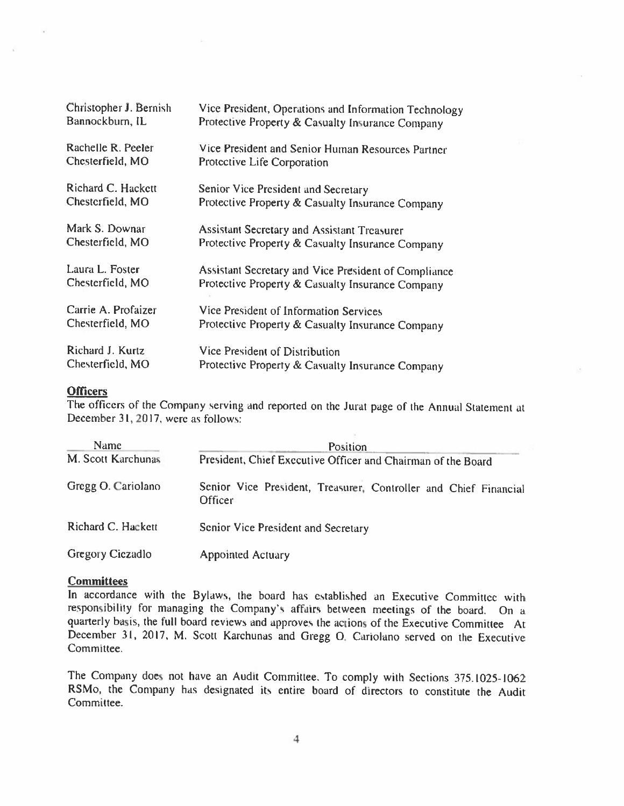| Christopher J. Bernish | Vice President, Operations and Information Technology |
|------------------------|-------------------------------------------------------|
| Bannockburn, IL        | Protective Property & Casualty Insurance Company      |
| Rachelle R. Peeler     | Vice President and Senior Human Resources Partner     |
| Chesterfield, MO       | Protective Life Corporation                           |
| Richard C. Hackett     | Senior Vice President and Secretary                   |
| Chesterfield, MO       | Protective Property & Casualty Insurance Company      |
| Mark S. Downar         | <b>Assistant Secretary and Assistant Treasurer</b>    |
| Chesterfield, MO       | Protective Property & Casualty Insurance Company      |
| Laura L. Foster        | Assistant Secretary and Vice President of Compliance  |
| Chesterfield, MO       | Protective Property & Casualty Insurance Company      |
| Carrie A. Profaizer    | Vice President of Information Services                |
| Chesterfield, MO       | Protective Property & Casualty Insurance Company      |
| Richard J. Kurtz       | Vice President of Distribution                        |
| Chesterfield, MO       | Protective Property & Casualty Insurance Company      |

#### Officers

The officers of the Company serving and reported on the Jurat page of the Annual Statement at December 31, 2017, were as follows:

| <b>Name</b>        | <b>Position</b>                                                             |  |  |
|--------------------|-----------------------------------------------------------------------------|--|--|
| M. Scott Karchunas | President, Chief Executive Officer and Chairman of the Board                |  |  |
| Gregg O. Cariolano | Senior Vice President, Treasurer, Controller and Chief Financial<br>Officer |  |  |
| Richard C. Hackett | Senior Vice President and Secretary                                         |  |  |
| Gregory Ciczadlo   | <b>Appointed Actuary</b>                                                    |  |  |

#### **Committees**

In accordance with the Bylaws, the board has established an Executive Committee with responsibility for managing the Company's affairs between meetings of the hoard. On <sup>a</sup> quarterly basis, the full board reviews and approves the actions of the Executive Committee At December 31, 2017, M. Scott Karchunas and Gregg 0. Cariolano served on the Executive Committee.

The Company does not have an Audit Committee. To comply with Sections 375.1025-1062 RSMo, the Company has designated its entire board of directors to constitute the Audit Committee.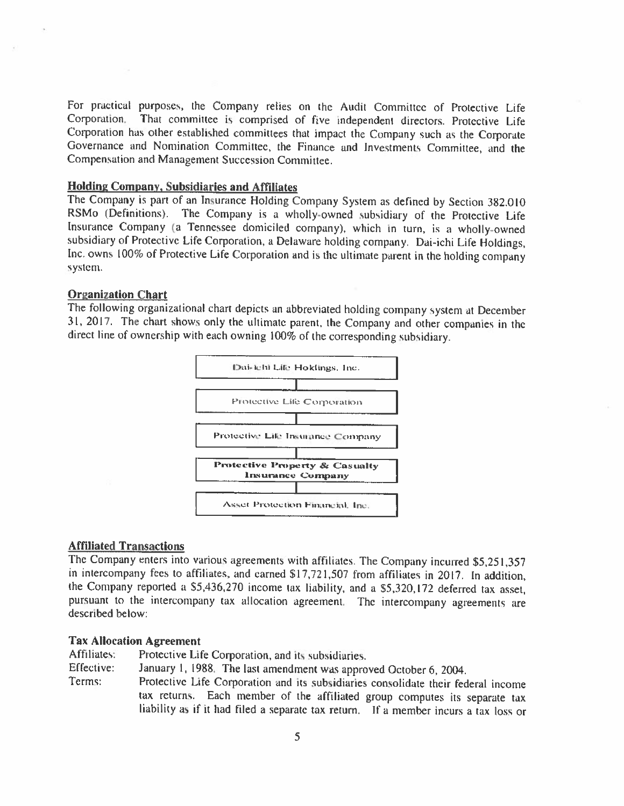For practical purposes, the Company relies on the Audit Committee of Protective Life Corporation. That committee is comprised of five independent directors. Protective Life Corporation has other established committees that impact the Company such as the Corporate Governance and Nomination Committee, the Finance and Investments Committee, and the Compensation and Management Succession Committee.

#### Holding Company, Subsidiaries and Affiliates

The Company is part of an Insurance Holding Company System as defined by Section 382.0 <sup>10</sup> RSMo (Definitions). The Company is <sup>a</sup> wholly-owned subsidiary of the Protective Life Insurance Company (a Tennessee domiciled company), which in turn, is <sup>a</sup> wholly-owned subsidiary of Protective Life Corporation, <sup>a</sup> Delaware holding company. Dai-ichi Life Holdings, Inc. owns 100% of Protective Life Corporation and is the ultimate parent in the holding company system.

#### Organization Chart

The following organizational chart depicts an abbreviated holding company system at December 31, 2017. The chart shows only the ultimate parent. the Company and other companies in the direct line of ownership with each owning 100% of the corresponding subsidiary.



#### Affiliated Transactions

The Company enters into various agreements with affiliates. The Company incurred \$5,251,357 in intercompany fees to affiliates, and earned \$17,721,507 from affiliates in 2017. In addition, the Company reported <sup>a</sup> \$5,436,270 income tax liability, and <sup>a</sup> S5.320,172 deferred tax asset, pursuant to the intercompany tax allocation agreement. The intercompany agreements are described below:

#### Tax Allocation Agreement

Affiliates: Protective Life Corporation, and its subsidiaries.

- Effective: January I, 1988. The last amendment was approved October 6, 2004.
- Terms: Protective Life Corporation and its subsidiaries consolidate their federal income tax returns. Each member of the affiliated group computes its separate tax liability as if it had filed <sup>a</sup> separate tax return. If <sup>a</sup> member incurs <sup>a</sup> tax loss or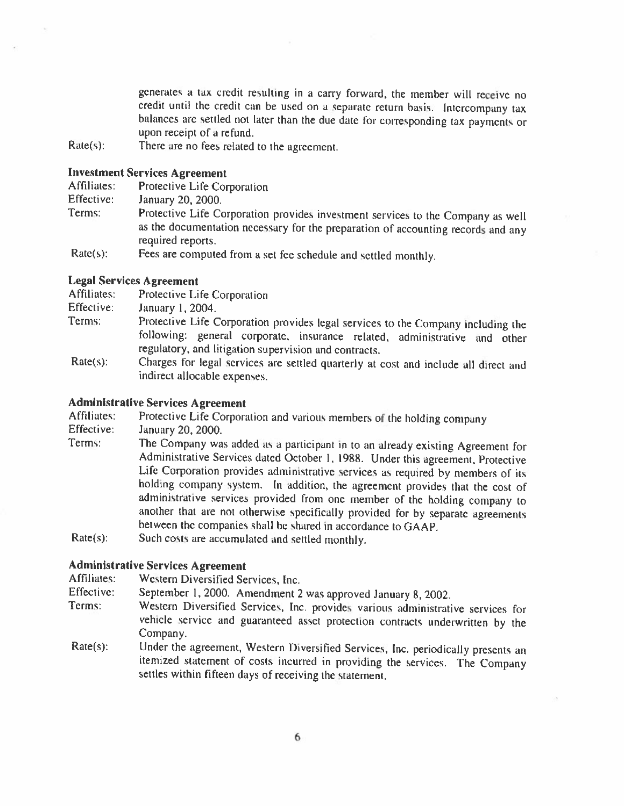generates <sup>a</sup> tax credit resulting in <sup>a</sup> carry forward, the member will receive no credit until the credit can be used on a separate return basis. Intercompany tax balances are settled not later than the due date for corresponding tax payments or upon receipt of <sup>a</sup> refund,

Rate(s): There are no fees related to the agreement.

#### Investment Services Agreement

| Affiliates: | Protective Life Corporation |
|-------------|-----------------------------|
| Effective:  | January 20, 2000.           |

- Terms: Protective Life Corporation provides investment services to the Company as well as the documentation necessary for the preparation of accounting records and any required reports.
- Rate(s): Fees are computed from a set fee schedule and settled monthly.

#### Legal Services Agreement

| Affiliates: | Protective Life Corporation                                                                                                        |
|-------------|------------------------------------------------------------------------------------------------------------------------------------|
| Effective:  | January 1, 2004.                                                                                                                   |
| Terms:      | Protective Life Corporation provides legal services to the Company including the                                                   |
|             | following: general corporate, insurance related, administrative and other<br>regulatory, and litigation supervision and contracts. |
| $Rate(s)$ : | Charges for legal services are settled quarterly at cost and include all direct and                                                |
|             | indirect allocable expenses.                                                                                                       |

#### Administrative Services Agreement

Affiliates: Protective Life Corporation and various members of the holding company<br>Effective: January 20, 2000

January 20, 2000.

- Terms: The Company was added as <sup>a</sup> participant in to an already existing Agreement for Administrative Services dated October 1, 1988. Under this agreement, Protective Life Corporation provides administrative services as required by members of its holding company system. In addition, the agreement provides that the cost of administrative services provided from one member of the holding company to another that are not otherwise specifically provided for by separate agreements between the companies shall he shared in accordance to GAAP.
- Rate(s): Such costs are accumulated and settled monthly.

#### Administrative Services Agreement

Affiliates: Western Diversified Services, Inc.

- Effective: September 1, 2000. Amendment 2 was approved January 8, 2002.<br>Terms: Western Diversified Services. Inc. provides various administrati
- Western Diversified Services, Inc. provides various administrative services for vehicle service and guaranteed asset protection contracts underwritten by the Company.
- Rate(s): Under the agreement, Western Diversified Services, Inc. periodically presents an itemized statement of costs incurred in providing the services. The Company settles within fifteen days of receiving the statement.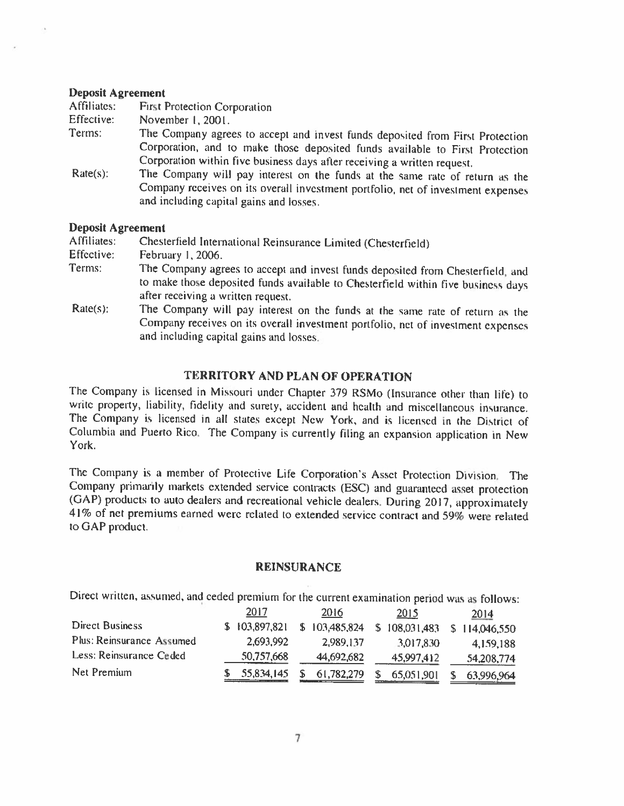#### Deposit Agreement

| Affiliates: | <b>First Protection Corporation</b>                                                                                                                                                                         |
|-------------|-------------------------------------------------------------------------------------------------------------------------------------------------------------------------------------------------------------|
| Effective:  | November 1, 2001.                                                                                                                                                                                           |
| Terms:      | The Company agrees to accept and invest funds deposited from First Protection                                                                                                                               |
|             | Corporation, and to make those deposited funds available to First Protection<br>Corporation within five business days after receiving a written request.                                                    |
| $Rate(s)$ : | The Company will pay interest on the funds at the same rate of return as the<br>Company receives on its overall investment portfolio, net of investment expenses<br>and including capital gains and losses. |
|             |                                                                                                                                                                                                             |

### Deposit Agreement

Affiliates: Chesterfield International Reinsurance Limited (Chesterfield)<br>Effective: February 1, 2006.

- February 1, 2006.
- Terms: The Company agrees to accept and invest funds deposited from Chesterfield, and to make those deposited funds available to Chesterfield within five business days after receiving a written request.
- Rate(s): The Company will pay interest on the funds at the same rate of return as the Company receives on its overall investment portfolio, net of investment expenses and including capital gains and losses.

#### TERRITORY AND PLAN OF OPERATION

The Company is licensed in Missouri under Chapter <sup>379</sup> RSMo (Insurance other than life) to write property, liability, fidelity and surety, accident and health and miscellaneous insurance. The Company is licensed in all states except New York, and is licensed in the District of Columbia and Puerto Rico. The Company is currently filing an expansion application in New York,

The Company is <sup>a</sup> member of Protective Life Corporation's Asset Protection Division. The Company primarily markets extended service contracts (ESC) and guaranteed asset protection (GAP) products to auto dealers and recreational vehicle dealers. During 2017, approximately 41% of net premiums earned were related to extended service contract and 59% were related to GAP product.

#### REINSURANCE

Direct written, assumed, and ceded premium for the current examination period was as follows:

|                           | 2017          | 2016          | 2015              | 2014          |
|---------------------------|---------------|---------------|-------------------|---------------|
| <b>Direct Business</b>    | \$103,897,821 | \$103,485,824 | S.<br>108,031,483 | \$114,046,550 |
| Plus: Reinsurance Assumed | 2,693,992     | 2.989.137     | 3,017,830         | 4,159,188     |
| Less: Reinsurance Ceded   | 50,757,668    | 44,692,682    | 45,997,412        | 54,208,774    |
| Net Premium               | 55,834,145    | 61,782,279    | 65,051,901        | 63,996,964    |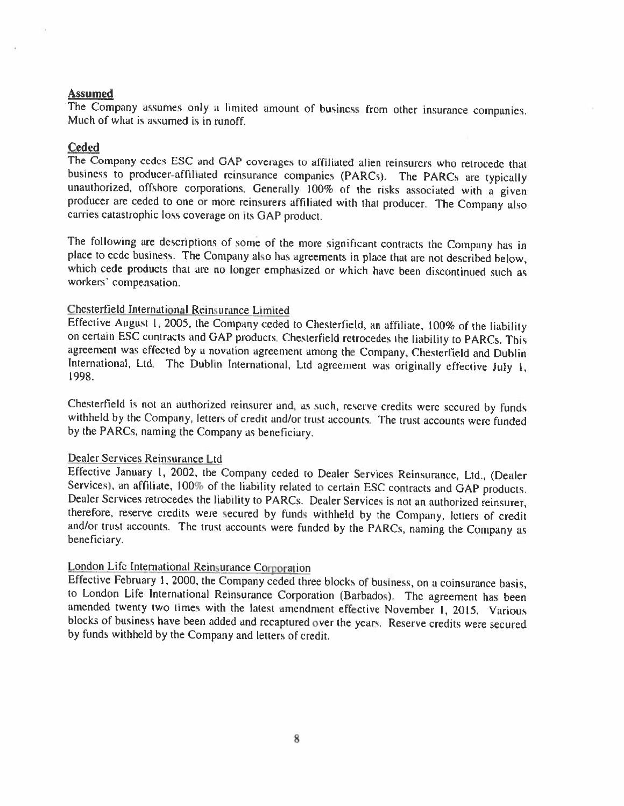#### Assumed

The Company assumes only <sup>a</sup> limited amount of business from other insurance companies. Much of what is assumed is in runoff.

#### Ceded

The Company cedes ESC and GAP coverages to affiliated alien reinsurers who retrocede that business to producer-affiliated reinsurance companies (PARCs). The PARCs are typically unauthorized, offshore corporations. Generally 100% of the risks associated with a given<br>producer are ceded to one or more reinsurers affiliated with that producer. The Company also<br>carries catastrophic loss coverage on it

The following are descriptions of some of the more significant contracts the Company has in place to cede business. The Company also has agreements in place that are not described below, which cede products that are no longer emphasized or which have been discontinued such as workers' compensation.

#### Chesterfield International Reinsurance Limited

Effective August I, 2005, the Company ceded to Chesterfield. an affiliate, 100% of the liability on certain ESC contracts and GAP products. Chesterfield retrocedes the liability to PARCs. This agreement was effected by a novation agreement among the Company, Chesterfield and Dublin International, Ltd. The Dublin International, Ltd agreement was originally effective July 1, 1998.

Chesterfield is not an authorized reinsurer and, as such, reserve credits were secured by funds withheld by the Company, letters of credit and/or trust accounts. The trust accounts were funded by the PARCS, naming the Company as beneficiary.

Dealer Services Reinsurance Ltd<br>Effective January 1, 2002, the Company ceded to Dealer Services Reinsurance, Ltd., (Dealer Services), an affiliate, 100% of the liability related to certain ESC contracts and GAP products.<br>Dealer Services retrocedes the liability to PARCs. Dealer Services is not an authorized reinsurer, therefore, reserve credits were secured by funds withheld by the Company, letters of credit and/or trust accounts. The trust accounts were funded by the PARCs, naming the Company as beneficiary.

#### London Life International Reinsurance Corporation

Effective February I, 2000, the Company ceded three blocks of business, on <sup>a</sup> coinsurance basis, to London Life International Reinsurance Corporation (Barbados). The agreement has been amended twenty two times with the latest amendment effective November 1, 2015. Various blocks of business have been added and recaptured over the years. Reserve credits were secured by funds withheld by the Company and letters of credit.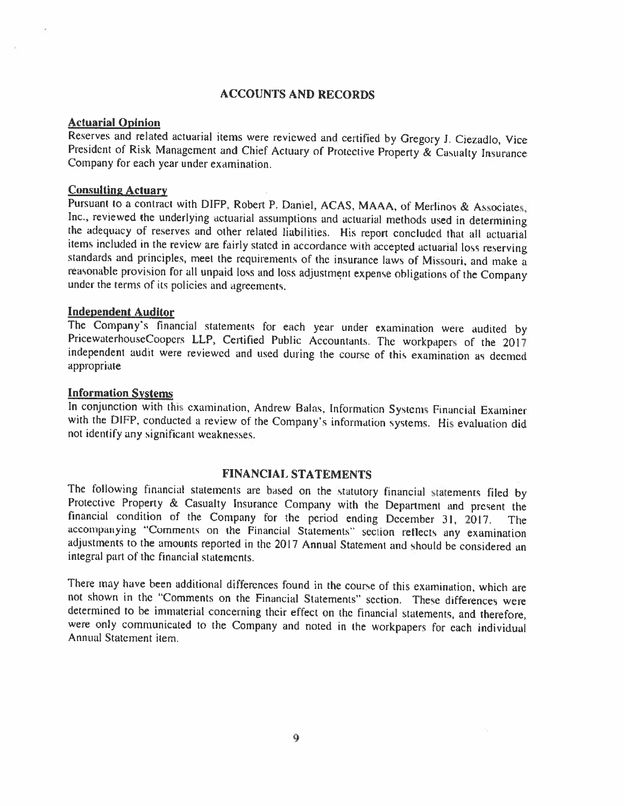#### ACCOUNTS AND RECORDS

#### Actuarial Opinion

Reserves and related actuarial items were reviewed and certified by Gregory J. Ciezadlo, Vice President of Risk Management and Chief Actuary of Protective Property & Casualty Insurance Company for each year under examinati

**Consulting Actuary**<br>Pursuant to a contract with DIFP, Robert P. Daniel, ACAS, MAAA, of Merlinos & Associates, Inc., reviewed the underlying actuarial assumptions and actuarial methods used in determining<br>the adequacy of reserves and other related liabilities. His report concluded that all actuarial<br>items included in the review are standards and principles, meet the requirements of the insurance laws of Missouri, and make a reasonable provision for all unpaid loss and loss adjustment expense obligations of the Company under the terms of its policies and agreements.

Independent Auditor<br>The Company's financial statements for each year under examination were audited by PricewaterhouseCoopers LLP, Certified Public Accountants. The workpapers of the 2017 independent audit were reviewed and used during the course of this examination as deemed appropriate

#### Information Systems

In conjunction with this examination, Andrew Balas, Information Systems Financial Examiner with the DIFP, conducted <sup>a</sup> review of the Company's information systems. His evaluation did not identify any significant weaknesses.

### FINANCIAL STATEMENTS

The following financial statements are based on the statutory financial statements filed by Protective Property & Casualty Insurance Company with the Department and present the financial condition of the Company for the pe adjustments to the amounts reported in the 2017 Annual Statement and should be considered an integral part of the financial statemenis.

There may have been additional differences found in the course of this examination, which are not shown in the "Comments on the Financial Statements" section. These differences were determined to he immaterial concerning their effect on the financial statements, and therefore, were only communicated to the Company and noted in ihe workpapers for each individual Annual Statement item.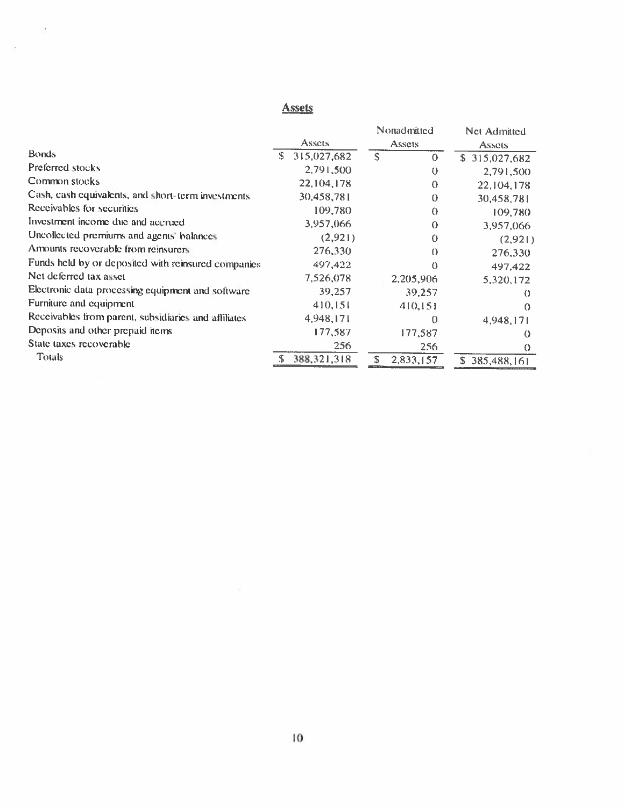### **Assets**

 $\frac{1}{2}$ 

 $\mathcal{A}$ 

|                  | Nonadmitted   | Net Admitted                              |
|------------------|---------------|-------------------------------------------|
| Assets           | Assets        | <b>Assets</b>                             |
| S<br>315,027,682 | S<br>$\Omega$ | \$315,027,682                             |
| 2,791,500        | $\theta$      | 2,791,500                                 |
| 22,104,178       | $\Omega$      | 22,104,178                                |
| 30,458,781       | $\Omega$      | 30,458,781                                |
| 109,780          | $\Omega$      | 109,780                                   |
| 3,957,066        | $\Omega$      | 3,957,066                                 |
| (2,921)          | 0             | (2,921)                                   |
| 276,330          | $\theta$      | 276,330                                   |
| 497,422          | 0             | 497,422                                   |
| 7,526,078        |               | 5,320,172                                 |
| 39,257           |               | $\Omega$                                  |
| 410,151          |               | $\Omega$                                  |
|                  | 0             | 4,948,171                                 |
| 177,587          |               | ↔                                         |
| 256              | 256           | $\Omega$                                  |
| 388, 321, 318    | 2,833,157     | \$385,488,161                             |
|                  | 4,948,171     | 2,205,906<br>39,257<br>410,151<br>177,587 |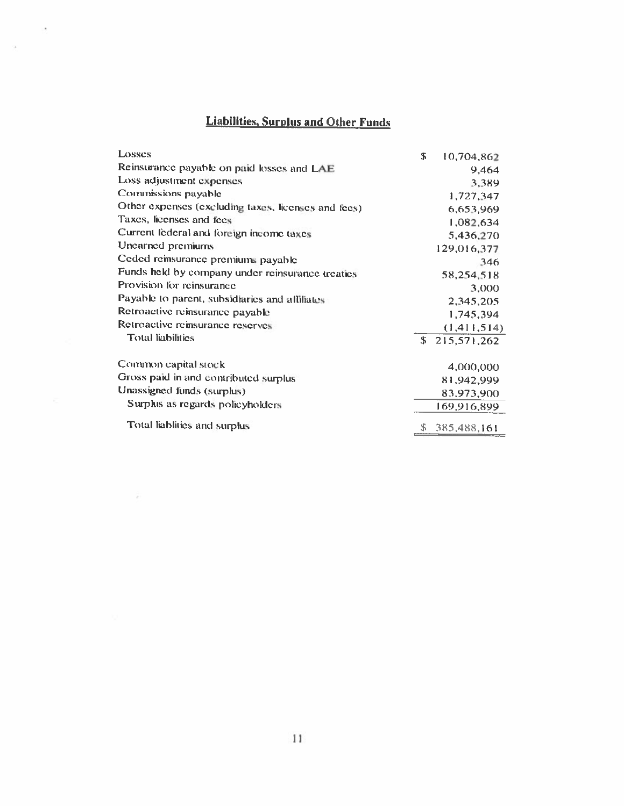# **Liabilities, Surplus and Other Funds**

×.

ò.

| Losses                                              | \$ | 10,704,862    |
|-----------------------------------------------------|----|---------------|
| Reinsurance payable on paid losses and LAE          |    | 9,464         |
| Loss adjustment expenses                            |    | 3.389         |
| Commissions payable                                 |    | 1,727,347     |
| Other expenses (excluding taxes, licenses and fees) |    | 6,653,969     |
| Taxes, licenses and fees                            |    | 1,082,634     |
| Current federal and foreign income taxes            |    | 5,436,270     |
| Unearned premiums                                   |    | 129,016,377   |
| Ceded reinsurance premiums payable                  |    | 346           |
| Funds held by company under reinsurance treaties    |    | 58,254,518    |
| Provision for reinsurance                           |    | 3,000         |
| Payable to parent, subsidiaries and affiliates      |    | 2,345,205     |
| Retroactive reinsurance payable                     |    | 1,745,394     |
| Retroactive reinsurance reserves                    |    | (1, 411, 514) |
| <b>Total liabilities</b>                            |    | \$215,571,262 |
| Common capital stock                                |    | 4,000,000     |
| Gross paid in and contributed surplus               |    | 81,942,999    |
| Unassigned funds (surplus)                          |    | 83,973,900    |
| Surplus as regards policyholders                    |    | 169,916,899   |
| Total liablities and surplus                        | S. | 385,488,161   |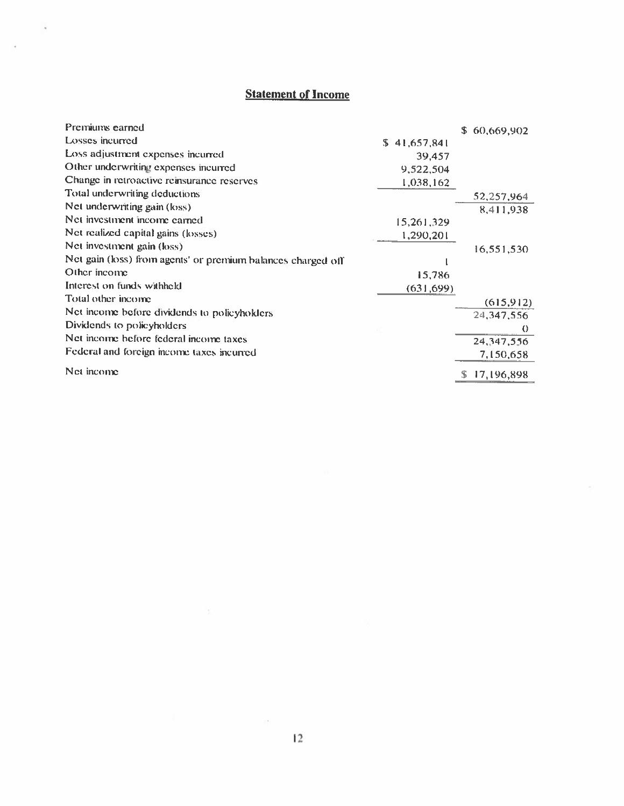# **Statement of Income**

ü

| Premiums earned                                              |              | \$60,669,902 |
|--------------------------------------------------------------|--------------|--------------|
| Losses incurred                                              | \$41,657,841 |              |
| Loss adjustment expenses incurred                            | 39,457       |              |
| Other underwriting expenses incurred                         | 9,522,504    |              |
| Change in retroactive reinsurance reserves                   | 1,038,162    |              |
| Total underwriting deductions                                |              | 52,257,964   |
| Net underwriting gain (loss)                                 |              | 8,411,938    |
| Net investment income carned                                 | 15,261,329   |              |
| Net realized capital gains (losses)                          | 1,290,201    |              |
| Net investment gain (loss)                                   |              | 16,551,530   |
| Net gain (loss) from agents' or premium balances charged off |              |              |
| Other income                                                 | 15,786       |              |
| Interest on funds withheld                                   | (631, 699)   |              |
| Total other income                                           |              | (615,912)    |
| Net income before dividends to policyholders                 |              | 24,347,556   |
| Dividends to policyholders                                   |              | $\theta$     |
| Net income before federal income taxes                       |              | 24, 347, 556 |
| Federal and foreign income taxes incurred                    |              | 7,150,658    |
| Net income                                                   |              | 17,196,898   |

m.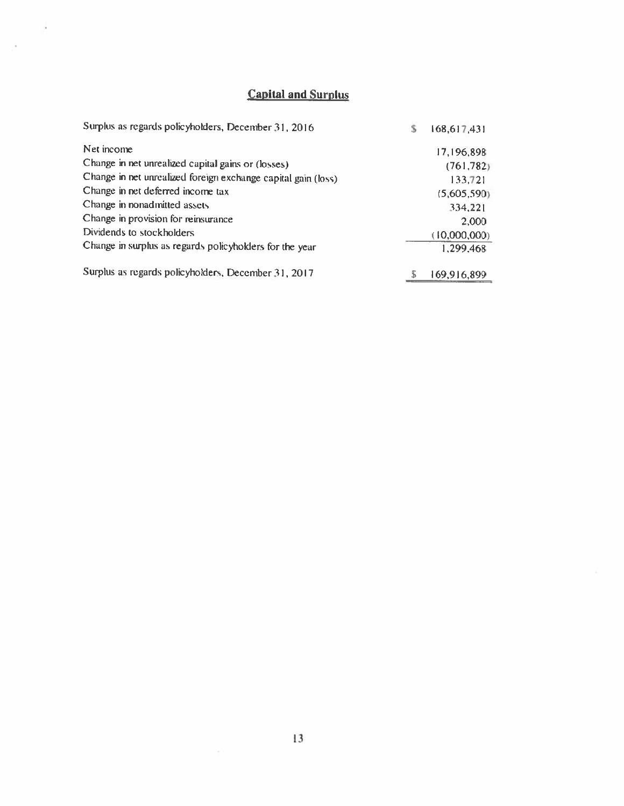# Capital and Surplus

š.

 $\bar{z}$ 

| Surplus as regards policyholders, December 31, 2016           | S | 168,617,431  |
|---------------------------------------------------------------|---|--------------|
| Net income                                                    |   | 17,196,898   |
| Change in net unrealized capital gains or (losses)            |   | (761, 782)   |
| Change in net unrealized foreign exchange capital gain (loss) |   | 133,721      |
| Change in net deferred income tax                             |   | (5,605,590)  |
| Change in nonadmitted assets                                  |   | 334,221      |
| Change in provision for reinsurance                           |   | 2,000        |
| Dividends to stockholders                                     |   | (10,000,000) |
| Change in surplus as regards policyholders for the year       |   | 1,299,468    |
| Surplus as regards policyholders, December 31, 2017           | S | 169,916,899  |

 $\mathbb{R}^n$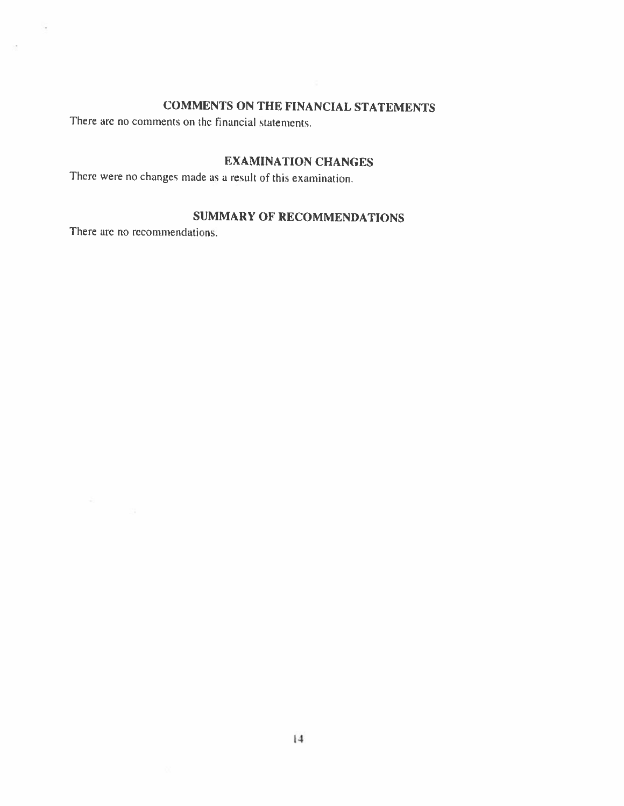# COMMENTS ON THE FINANCIAL STATEMENTS

There are no comments on the financial statements.

## EXAMINATION CHANGES

There were no changes made as a result of this examination.

# SUMMARY OF RECOMMENDATIONS

There are no recommendations.

S,

 $\sim$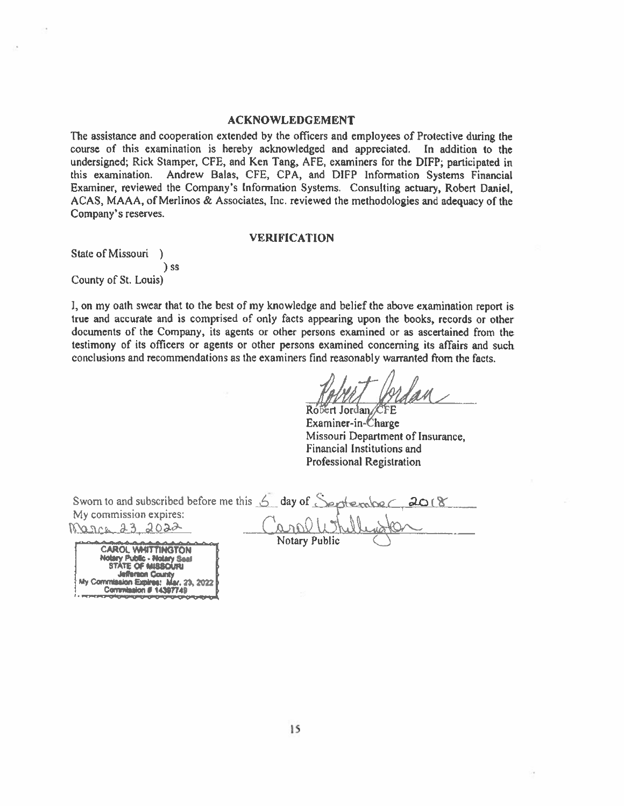#### **ACKNOWLEDGEMENT**

The assistance and cooperation extended by the officers and employees of Protective during the course of this examination is hereby acknowledged and appreciated. In addition to the undersigned; Rick Stamper, CFE, and Ken Tang, AFE, examiners for the DIFP; participated in Andrew Balas, CFE, CPA, and DIFP Information Systems Financial this examination. Examiner, reviewed the Company's Information Systems. Consulting actuary, Robert Daniel. ACAS, MAAA, of Merlinos & Associates, Inc. reviewed the methodologies and adequacy of the Company's reserves.

#### **VERIFICATION**

State of Missouri )  $)$  ss County of St. Louis)

I, on my oath swear that to the best of my knowledge and belief the above examination report is true and accurate and is comprised of only facts appearing upon the books, records or other documents of the Company, its agents or other persons examined or as ascertained from the testimony of its officers or agents or other persons examined concerning its affairs and such conclusions and recommendations as the examiners find reasonably warranted from the facts.

Róbert Jordan / CFE Examiner-in-Charge Missouri Department of Insurance, Financial Institutions and **Professional Registration** 

| Sworn to and subscribed before me this $6$ day of September, 2018                                                           |                 |  |
|-----------------------------------------------------------------------------------------------------------------------------|-----------------|--|
| My commission expires:                                                                                                      |                 |  |
| Narce 23 2022                                                                                                               | CarolWhillwater |  |
| the control of the control of the control of the control of the control of the control of<br>A A R A MARKET THE TAX AND THE | Notary Public   |  |

ROL WHITTINGTON *<u>Sc - Notary Seal</u>* **MARO** NTE OF **Jefferson County** 14397749